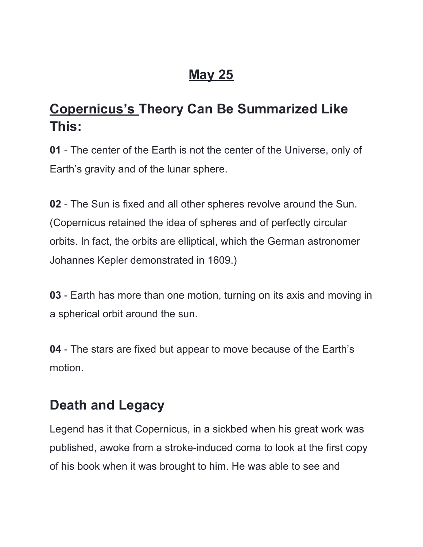# **May 25**

# **Copernicus's Theory Can Be Summarized Like This:**

**01** - The center of the Earth is not the center of the Universe, only of Earth's gravity and of the lunar sphere.

**02** - The Sun is fixed and all other spheres revolve around the Sun. (Copernicus retained the idea of spheres and of perfectly circular orbits. In fact, the orbits are elliptical, which the German astronomer Johannes Kepler demonstrated in 1609.)

**03** - Earth has more than one motion, turning on its axis and moving in a spherical orbit around the sun.

**04** - The stars are fixed but appear to move because of the Earth's motion.

# **Death and Legacy**

Legend has it that Copernicus, in a sickbed when his great work was published, awoke from a stroke-induced coma to look at the first copy of his book when it was brought to him. He was able to see and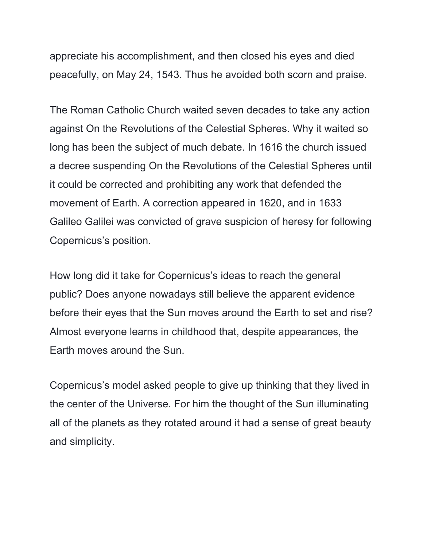appreciate his accomplishment, and then closed his eyes and died peacefully, on May 24, 1543. Thus he avoided both scorn and praise.

The Roman Catholic Church waited seven decades to take any action against On the Revolutions of the Celestial Spheres. Why it waited so long has been the subject of much debate. In 1616 the church issued a decree suspending On the Revolutions of the Celestial Spheres until it could be corrected and prohibiting any work that defended the movement of Earth. A correction appeared in 1620, and in 1633 Galileo Galilei was convicted of grave suspicion of heresy for following Copernicus's position.

How long did it take for Copernicus's ideas to reach the general public? Does anyone nowadays still believe the apparent evidence before their eyes that the Sun moves around the Earth to set and rise? Almost everyone learns in childhood that, despite appearances, the Earth moves around the Sun.

Copernicus's model asked people to give up thinking that they lived in the center of the Universe. For him the thought of the Sun illuminating all of the planets as they rotated around it had a sense of great beauty and simplicity.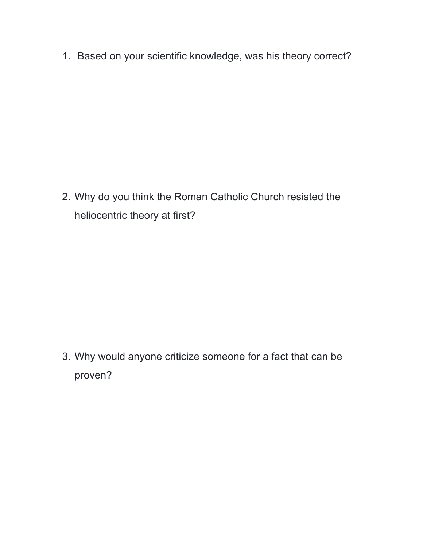1. Based on your scientific knowledge, was his theory correct?

2. Why do you think the Roman Catholic Church resisted the heliocentric theory at first?

3. Why would anyone criticize someone for a fact that can be proven?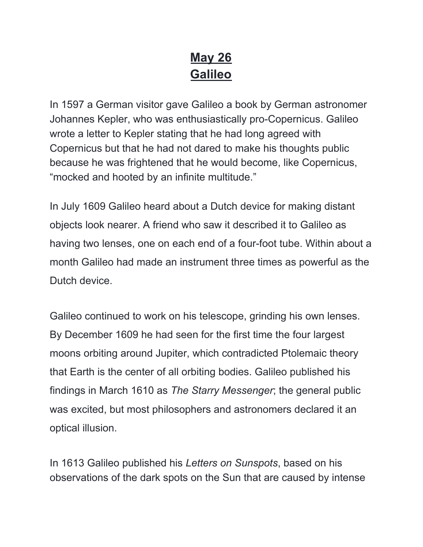# **May 26 Galileo**

In 1597 a German visitor gave Galileo a book by German astronomer Johannes Kepler, who was enthusiastically pro-Copernicus. Galileo wrote a letter to Kepler stating that he had long agreed with Copernicus but that he had not dared to make his thoughts public because he was frightened that he would become, like Copernicus, "mocked and hooted by an infinite multitude."

In July 1609 Galileo heard about a Dutch device for making distant objects look nearer. A friend who saw it described it to Galileo as having two lenses, one on each end of a four-foot tube. Within about a month Galileo had made an instrument three times as powerful as the Dutch device.

Galileo continued to work on his telescope, grinding his own lenses. By December 1609 he had seen for the first time the four largest moons orbiting around Jupiter, which contradicted Ptolemaic theory that Earth is the center of all orbiting bodies. Galileo published his findings in March 1610 as *The Starry Messenger*; the general public was excited, but most philosophers and astronomers declared it an optical illusion.

In 1613 Galileo published his *Letters on Sunspots*, based on his observations of the dark spots on the Sun that are caused by intense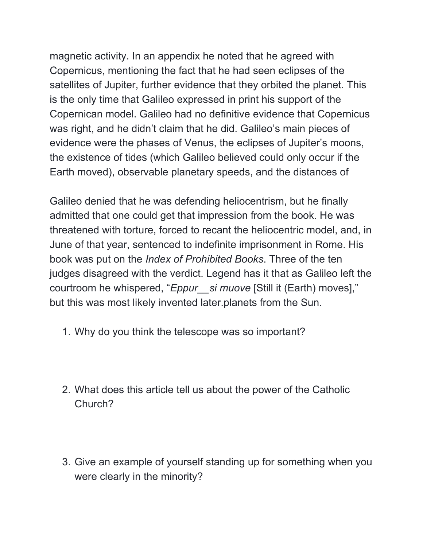magnetic activity. In an appendix he noted that he agreed with Copernicus, mentioning the fact that he had seen eclipses of the satellites of Jupiter, further evidence that they orbited the planet. This is the only time that Galileo expressed in print his support of the Copernican model. Galileo had no definitive evidence that Copernicus was right, and he didn't claim that he did. Galileo's main pieces of evidence were the phases of Venus, the eclipses of Jupiter's moons, the existence of tides (which Galileo believed could only occur if the Earth moved), observable planetary speeds, and the distances of

Galileo denied that he was defending heliocentrism, but he finally admitted that one could get that impression from the book. He was threatened with torture, forced to recant the heliocentric model, and, in June of that year, sentenced to indefinite imprisonment in Rome. His book was put on the *Index of Prohibited Books*. Three of the ten judges disagreed with the verdict. Legend has it that as Galileo left the courtroom he whispered, "*Eppur\_\_si muove* [Still it (Earth) moves]," but this was most likely invented later.planets from the Sun.

- 1. Why do you think the telescope was so important?
- 2. What does this article tell us about the power of the Catholic Church?
- 3. Give an example of yourself standing up for something when you were clearly in the minority?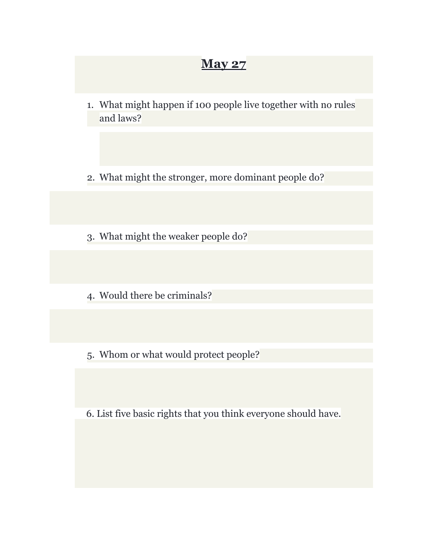## **May 27**

- 1. What might happen if 100 people live together with no rules and laws?
- 2. What might the stronger, more dominant people do?
- 3. What might the weaker people do?
- 4. Would there be criminals?
- 5. Whom or what would protect people?

6. List five basic rights that you think everyone should have.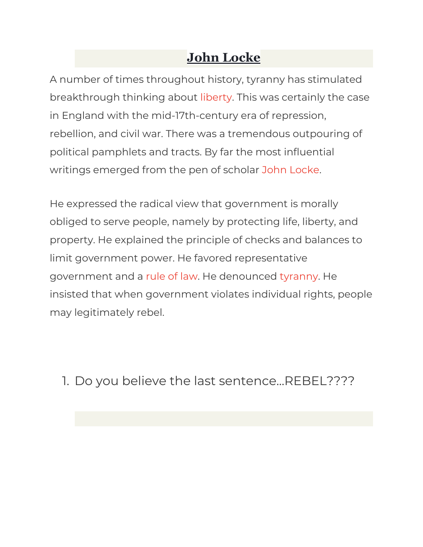# **John Locke**

A number of times throughout history, tyranny has stimulated breakthrough thinking about [liberty](https://fee.org/articles/democracy-versus-liberty). This was certainly the case in England with the mid-17th-century era of repression, rebellion, and civil war. There was a tremendous outpouring of political pamphlets and tracts. By far the most influential writings emerged from the pen of scholar John [Locke.](https://fee.org/articles/did-locke-really-justify-limited-government)

He expressed the radical view that government is morally obliged to serve people, namely by protecting life, liberty, and property. He explained the principle of checks and balances to limit government power. He favored representative government and a [rule](https://fee.org/articles/rule-of-man-or-rule-of-law) of law. He denounced [tyranny](https://fee.org/articles/the-ideals-of-tyranny). He insisted that when government violates individual rights, people may legitimately rebel.

1. Do you believe the last sentence...REBEL????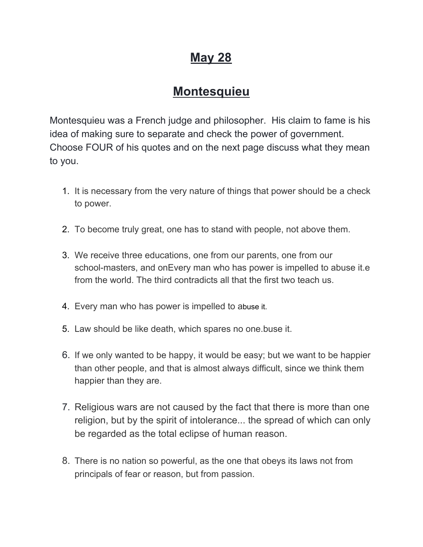# **May 28**

## **Montesquieu**

Montesquieu was a French judge and philosopher. His claim to fame is his idea of making sure to separate and check the power of government. Choose FOUR of his quotes and on the next page discuss what they mean to you.

- 1. It is [necessary](https://www.azquotes.com/quote/1335372) from the very nature of things that power should be a check to [power.](https://www.azquotes.com/quote/1335372)
- 2. To [become](https://www.azquotes.com/quote/203710) truly great, one has to stand with people, not above them.
- 3. We receive three [educations,](https://www.azquotes.com/quote/567564) one from our parents, one from our [school-masters,](https://www.azquotes.com/quote/567564) and onEvery man who has power is [impelled](https://www.azquotes.com/quote/838294) to abuse it.[e](https://www.azquotes.com/quote/567564) from the world. The third [contradicts](https://www.azquotes.com/quote/567564) all that the first two teach us.
- 4. Every man who has power is [impelled](https://www.azquotes.com/quote/838294) to abuse it.
- 5. Law should be like death, which [spares](https://www.azquotes.com/quote/1256456) no one[.buse](https://www.azquotes.com/quote/838294) it.
- 6. If we only wanted to be happy, it would be easy; but we want to be [happier](https://www.azquotes.com/quote/203714) than other people, and that is almost always [difficult,](https://www.azquotes.com/quote/203714) since we think them [happier](https://www.azquotes.com/quote/203714) than they are.
- 7. Religious wars are not caused by the fact that there is more than one religion, but by the spirit of intolerance... the spread of which can only be regarded as the total eclipse of human reason.
- 8. There is no nation so [powerful,](https://www.azquotes.com/quote/613988) as the one that obeys its laws not from [principals](https://www.azquotes.com/quote/613988) of fear or reason, but from passion.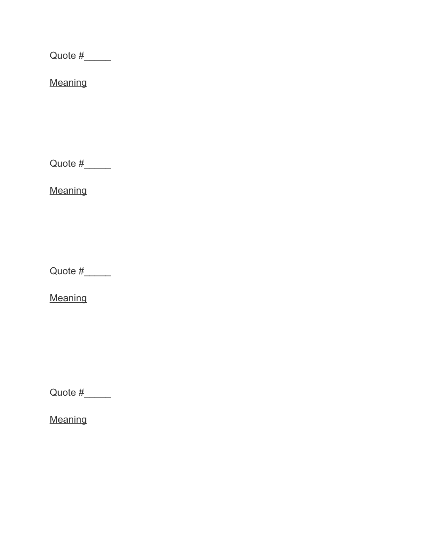Quote  $\#$ 

**Meaning** 

Quote  $#$ 

**Meaning** 

Quote #\_\_\_\_\_

**Meaning** 

Quote  $\#$ 

**Meaning**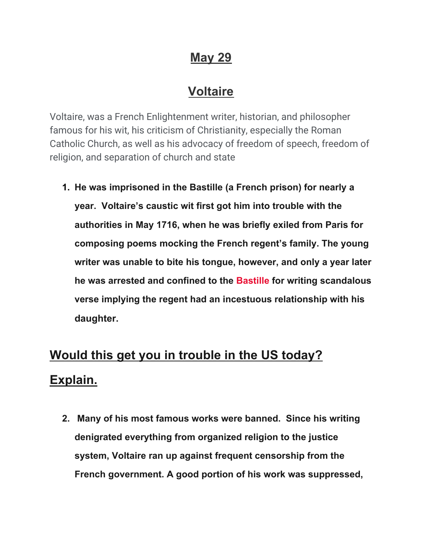# **May 29**

## **Voltaire**

Voltaire, was a French Enlightenment writer, historian, and philosopher famous for his wit, his criticism of Christianity, especially the Roman Catholic Church, as well as his advocacy of freedom of speech, freedom of religion, and separation of church and state

**1. He was imprisoned in the Bastille (a French prison) for nearly a year. Voltaire's caustic wit first got him into trouble with the authorities in May 1716, when he was briefly exiled from Paris for composing poems mocking the French regent's family. The young writer was unable to bite his tongue, however, and only a year later he was arrested and confined to the [Bastille](http://www.history.com/topics/bastille-day) for writing scandalous verse implying the regent had an incestuous relationship with his daughter.**

# **Would this get you in trouble in the US today? Explain.**

**2. Many of his most famous works were banned. Since his writing denigrated everything from organized religion to the justice system, Voltaire ran up against frequent censorship from the French government. A good portion of his work was suppressed,**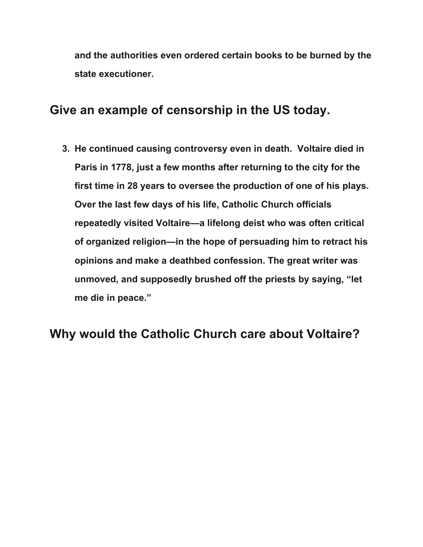**and the authorities even ordered certain books to be burned by the state executioner.**

#### **Give an example of censorship in the US today.**

**3. He continued causing controversy even in death. Voltaire died in Paris in 1778, just a few months after returning to the city for the first time in 28 years to oversee the production of one of his plays. Over the last few days of his life, Catholic Church officials repeatedly visited Voltaire—a lifelong deist who was often critical of organized religion—in the hope of persuading him to retract his opinions and make a deathbed confession. The great writer was unmoved, and supposedly brushed off the priests by saying, "let me die in peace."**

## **Why would the Catholic Church care about Voltaire?**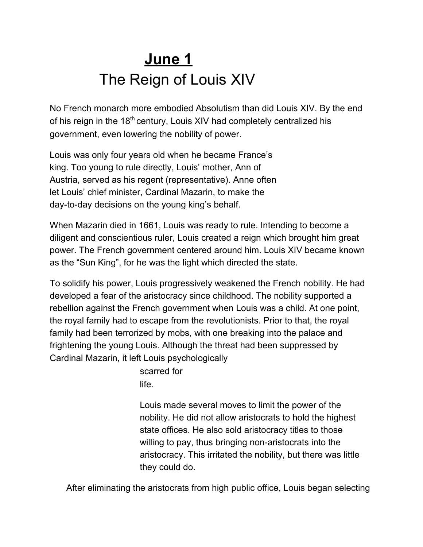# **June 1** The Reign of Louis XIV

No French monarch more embodied Absolutism than did Louis XIV. By the end of his reign in the 18<sup>th</sup> century, Louis XIV had completely centralized his government, even lowering the nobility of power.

Louis was only four years old when he became France's king. Too young to rule directly, Louis' mother, Ann of Austria, served as his regent (representative). Anne often let Louis' chief minister, Cardinal Mazarin, to make the day-to-day decisions on the young king's behalf.

When Mazarin died in 1661, Louis was ready to rule. Intending to become a diligent and conscientious ruler, Louis created a reign which brought him great power. The French government centered around him. Louis XIV became known as the "Sun King", for he was the light which directed the state.

To solidify his power, Louis progressively weakened the French nobility. He had developed a fear of the aristocracy since childhood. The nobility supported a rebellion against the French government when Louis was a child. At one point, the royal family had to escape from the revolutionists. Prior to that, the royal family had been terrorized by mobs, with one breaking into the palace and frightening the young Louis. Although the threat had been suppressed by Cardinal Mazarin, it left Louis psychologically

> scarred for life.

Louis made several moves to limit the power of the nobility. He did not allow aristocrats to hold the highest state offices. He also sold aristocracy titles to those willing to pay, thus bringing non-aristocrats into the aristocracy. This irritated the nobility, but there was little they could do.

After eliminating the aristocrats from high public office, Louis began selecting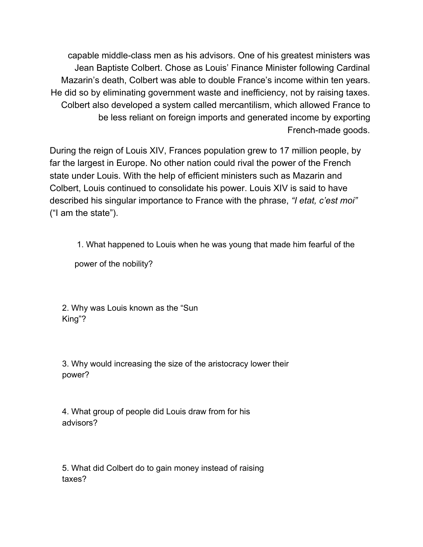capable middle-class men as his advisors. One of his greatest ministers was Jean Baptiste Colbert. Chose as Louis' Finance Minister following Cardinal Mazarin's death, Colbert was able to double France's income within ten years. He did so by eliminating government waste and inefficiency, not by raising taxes. Colbert also developed a system called mercantilism, which allowed France to be less reliant on foreign imports and generated income by exporting French-made goods.

During the reign of Louis XIV, Frances population grew to 17 million people, by far the largest in Europe. No other nation could rival the power of the French state under Louis. With the help of efficient ministers such as Mazarin and Colbert, Louis continued to consolidate his power. Louis XIV is said to have described his singular importance to France with the phrase, *"I etat, c'est moi"* ("I am the state").

1. What happened to Louis when he was young that made him fearful of the

power of the nobility?

2. Why was Louis known as the "Sun King"?

3. Why would increasing the size of the aristocracy lower their power?

4. What group of people did Louis draw from for his advisors?

5. What did Colbert do to gain money instead of raising taxes?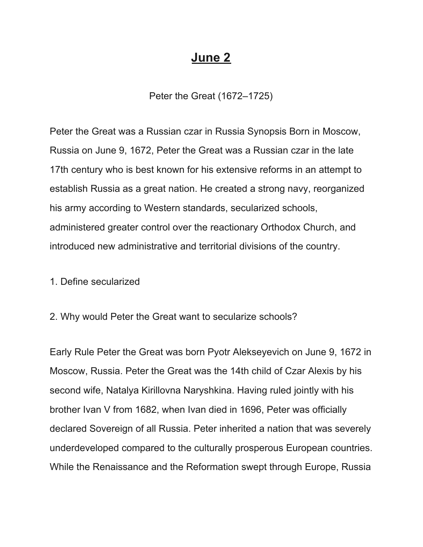#### **June 2**

Peter the Great (1672–1725)

Peter the Great was a Russian czar in Russia Synopsis Born in Moscow, Russia on June 9, 1672, Peter the Great was a Russian czar in the late 17th century who is best known for his extensive reforms in an attempt to establish Russia as a great nation. He created a strong navy, reorganized his army according to Western standards, secularized schools, administered greater control over the reactionary Orthodox Church, and introduced new administrative and territorial divisions of the country.

1. Define secularized

2. Why would Peter the Great want to secularize schools?

Early Rule Peter the Great was born Pyotr Alekseyevich on June 9, 1672 in Moscow, Russia. Peter the Great was the 14th child of Czar Alexis by his second wife, Natalya Kirillovna Naryshkina. Having ruled jointly with his brother Ivan V from 1682, when Ivan died in 1696, Peter was officially declared Sovereign of all Russia. Peter inherited a nation that was severely underdeveloped compared to the culturally prosperous European countries. While the Renaissance and the Reformation swept through Europe, Russia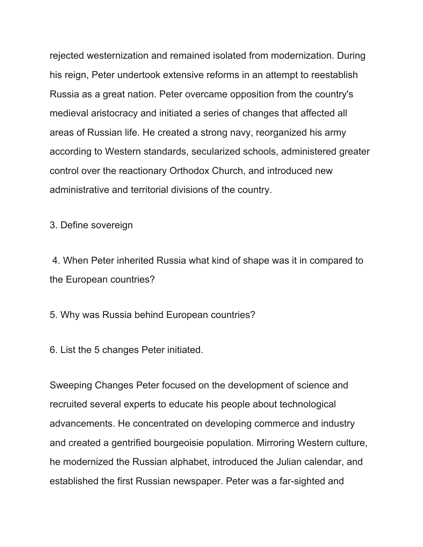rejected westernization and remained isolated from modernization. During his reign, Peter undertook extensive reforms in an attempt to reestablish Russia as a great nation. Peter overcame opposition from the country's medieval aristocracy and initiated a series of changes that affected all areas of Russian life. He created a strong navy, reorganized his army according to Western standards, secularized schools, administered greater control over the reactionary Orthodox Church, and introduced new administrative and territorial divisions of the country.

3. Define sovereign

4. When Peter inherited Russia what kind of shape was it in compared to the European countries?

5. Why was Russia behind European countries?

6. List the 5 changes Peter initiated.

Sweeping Changes Peter focused on the development of science and recruited several experts to educate his people about technological advancements. He concentrated on developing commerce and industry and created a gentrified bourgeoisie population. Mirroring Western culture, he modernized the Russian alphabet, introduced the Julian calendar, and established the first Russian newspaper. Peter was a far-sighted and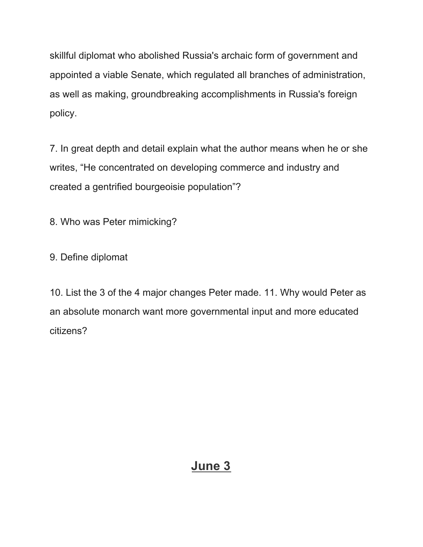skillful diplomat who abolished Russia's archaic form of government and appointed a viable Senate, which regulated all branches of administration, as well as making, groundbreaking accomplishments in Russia's foreign policy.

7. In great depth and detail explain what the author means when he or she writes, "He concentrated on developing commerce and industry and created a gentrified bourgeoisie population"?

8. Who was Peter mimicking?

9. Define diplomat

10. List the 3 of the 4 major changes Peter made. 11. Why would Peter as an absolute monarch want more governmental input and more educated citizens?

## **June 3**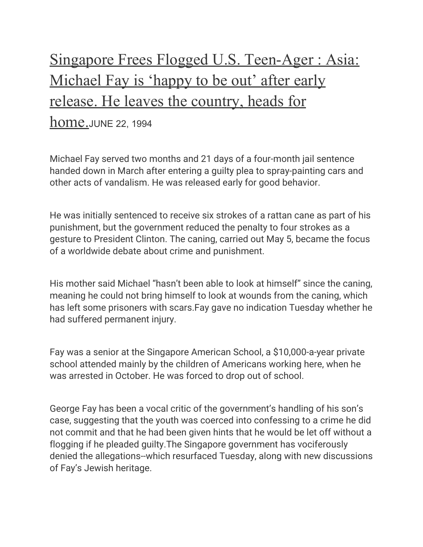# Singapore Frees Flogged U.S. Teen-Ager : Asia: Michael Fay is 'happy to be out' after early release. He leaves the country, heads for

#### home.JUNE 22, 1994

Michael Fay served two months and 21 days of a four-month jail sentence handed down in March after entering a guilty plea to spray-painting cars and other acts of vandalism. He was released early for good behavior.

He was initially sentenced to receive six strokes of a rattan cane as part of his punishment, but the government reduced the penalty to four strokes as a gesture to President Clinton. The caning, carried out May 5, became the focus of a worldwide debate about crime and punishment.

His mother said Michael "hasn't been able to look at himself" since the caning, meaning he could not bring himself to look at wounds from the caning, which has left some prisoners with scars.Fay gave no indication Tuesday whether he had suffered permanent injury.

Fay was a senior at the Singapore American School, a \$10,000-a-year private school attended mainly by the children of Americans working here, when he was arrested in October. He was forced to drop out of school.

George Fay has been a vocal critic of the government's handling of his son's case, suggesting that the youth was coerced into confessing to a crime he did not commit and that he had been given hints that he would be let off without a flogging if he pleaded guilty.The Singapore government has vociferously denied the allegations--which resurfaced Tuesday, along with new discussions of Fay's Jewish heritage.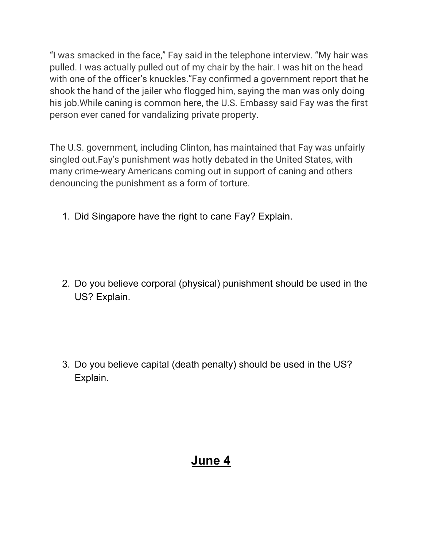"I was smacked in the face," Fay said in the telephone interview. "My hair was pulled. I was actually pulled out of my chair by the hair. I was hit on the head with one of the officer's knuckles."Fay confirmed a government report that he shook the hand of the jailer who flogged him, saying the man was only doing his job.While caning is common here, the U.S. Embassy said Fay was the first person ever caned for vandalizing private property.

The U.S. government, including Clinton, has maintained that Fay was unfairly singled out.Fay's punishment was hotly debated in the United States, with many crime-weary Americans coming out in support of caning and others denouncing the punishment as a form of torture.

1. Did Singapore have the right to cane Fay? Explain.

2. Do you believe corporal (physical) punishment should be used in the US? Explain.

3. Do you believe capital (death penalty) should be used in the US? Explain.

# **June 4**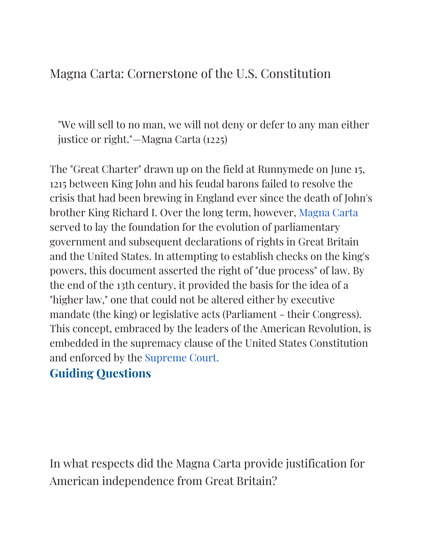## Magna Carta: Cornerstone of the U.S. Constitution

"We will sell to no man, we will not deny or defer to any man either justice or right."—Magna Carta (1225)

The "Great Charter" drawn up on the field at Runnymede on June 15, 1215 between King John and his feudal barons failed to resolve the crisis that had been brewing in England ever since the death of John's brother King Richard I. Over the long term, however, [Magna](http://www.bl.uk/treasures/magnacarta/magna_5.html) Carta served to lay the foundation for the evolution of parliamentary government and subsequent declarations of rights in Great Britain and the United States. In attempting to establish checks on the king's powers, this document asserted the right of "due process" of law. By the end of the 13th century, it provided the basis for the idea of a "higher law," one that could not be altered either by executive mandate (the king) or legislative acts (Parliament - their Congress). This concept, embraced by the leaders of the American Revolution, is embedded in the supremacy clause of the United States Constitution and enforced by the [Supreme](https://www.supremecourt.gov/about/infosheets/bronzedoors.aspx?rwndrnd=0.2755968610290438) Court.

## **Guiding Questions**

In what respects did the Magna Carta provide justification for American independence from Great Britain?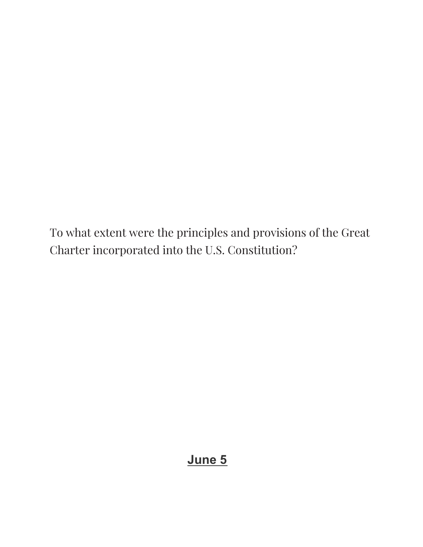To what extent were the principles and provisions of the Great Charter incorporated into the U.S. Constitution?

## **June 5**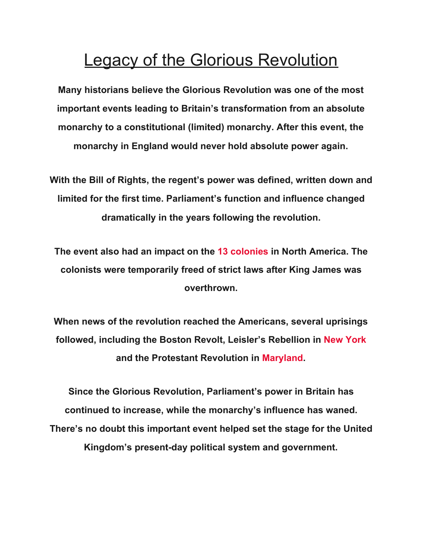# Legacy of the Glorious Revolution

**Many historians believe the Glorious Revolution was one of the most important events leading to Britain's transformation from an absolute monarchy to a constitutional (limited) monarchy. After this event, the monarchy in England would never hold absolute power again.**

**With the Bill of Rights, the regent's power was defined, written down and limited for the first time. Parliament's function and influence changed dramatically in the years following the revolution.**

**The event also had an impact on the [13 colonies](https://www.history.com/topics/colonial-america/thirteen-colonies) in North America. The colonists were temporarily freed of strict laws after King James was overthrown.**

**When news of the revolution reached the Americans, several uprisings followed, including the Boston Revolt, Leisler's Rebellion in [New York](https://www.history.com/topics/us-states/new-york) and the Protestant Revolution in [Maryland.](https://www.history.com/topics/us-states/maryland)**

**Since the Glorious Revolution, Parliament's power in Britain has continued to increase, while the monarchy's influence has waned. There's no doubt this important event helped set the stage for the United Kingdom's present-day political system and government.**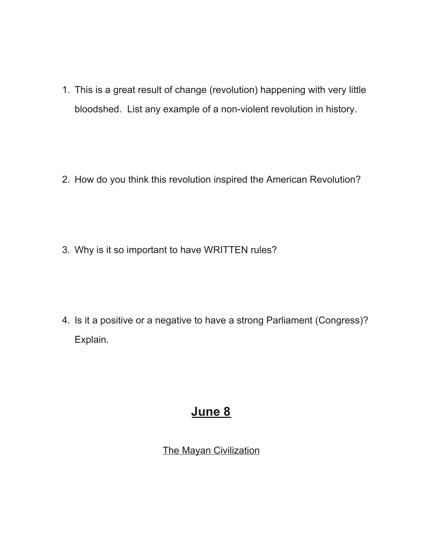1. This is a great result of change (revolution) happening with very little bloodshed. List any example of a non-violent revolution in history.

2. How do you think this revolution inspired the American Revolution?

3. Why is it so important to have WRITTEN rules?

4. Is it a positive or a negative to have a strong Parliament (Congress)? Explain.

# **June 8**

The Mayan Civilization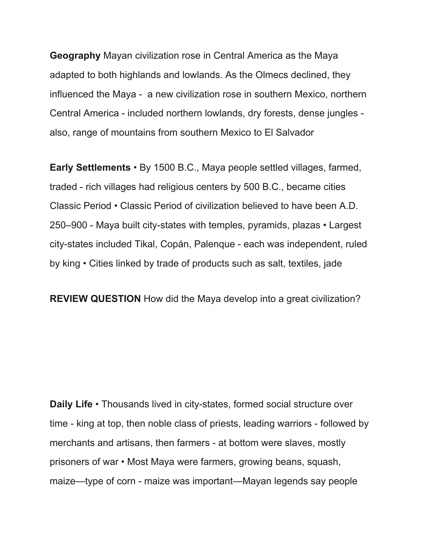**Geography** Mayan civilization rose in Central America as the Maya adapted to both highlands and lowlands. As the Olmecs declined, they influenced the Maya - a new civilization rose in southern Mexico, northern Central America - included northern lowlands, dry forests, dense jungles also, range of mountains from southern Mexico to El Salvador

**Early Settlements** • By 1500 B.C., Maya people settled villages, farmed, traded - rich villages had religious centers by 500 B.C., became cities Classic Period • Classic Period of civilization believed to have been A.D. 250–900 - Maya built city-states with temples, pyramids, plazas • Largest city-states included Tikal, Copán, Palenque - each was independent, ruled by king • Cities linked by trade of products such as salt, textiles, jade

**REVIEW QUESTION** How did the Maya develop into a great civilization?

**Daily Life** • Thousands lived in city-states, formed social structure over time - king at top, then noble class of priests, leading warriors - followed by merchants and artisans, then farmers - at bottom were slaves, mostly prisoners of war • Most Maya were farmers, growing beans, squash, maize—type of corn - maize was important—Mayan legends say people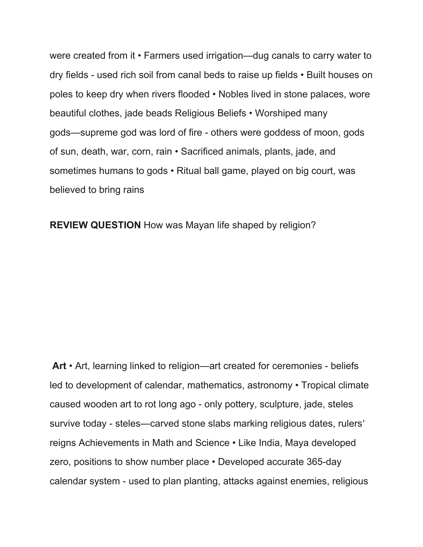were created from it • Farmers used irrigation—dug canals to carry water to dry fields - used rich soil from canal beds to raise up fields • Built houses on poles to keep dry when rivers flooded • Nobles lived in stone palaces, wore beautiful clothes, jade beads Religious Beliefs • Worshiped many gods—supreme god was lord of fire - others were goddess of moon, gods of sun, death, war, corn, rain • Sacrificed animals, plants, jade, and sometimes humans to gods • Ritual ball game, played on big court, was believed to bring rains

**REVIEW QUESTION** How was Mayan life shaped by religion?

**Art** • Art, learning linked to religion—art created for ceremonies - beliefs led to development of calendar, mathematics, astronomy • Tropical climate caused wooden art to rot long ago - only pottery, sculpture, jade, steles survive today - steles—carved stone slabs marking religious dates, rulers' reigns Achievements in Math and Science • Like India, Maya developed zero, positions to show number place • Developed accurate 365-day calendar system - used to plan planting, attacks against enemies, religious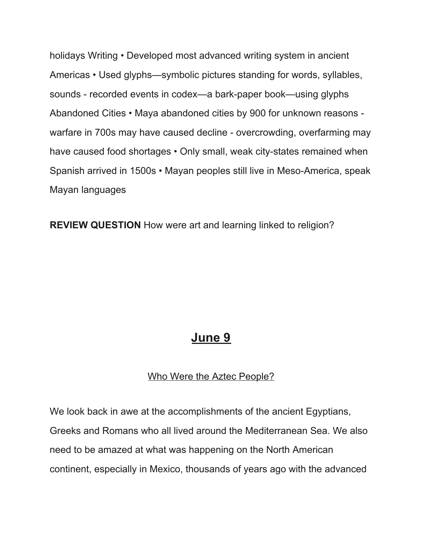holidays Writing • Developed most advanced writing system in ancient Americas • Used glyphs—symbolic pictures standing for words, syllables, sounds - recorded events in codex—a bark-paper book—using glyphs Abandoned Cities • Maya abandoned cities by 900 for unknown reasons warfare in 700s may have caused decline - overcrowding, overfarming may have caused food shortages • Only small, weak city-states remained when Spanish arrived in 1500s • Mayan peoples still live in Meso-America, speak Mayan languages

**REVIEW QUESTION** How were art and learning linked to religion?

## **June 9**

#### Who Were the Aztec People?

We look back in awe at the accomplishments of the ancient Egyptians, Greeks and Romans who all lived around the Mediterranean Sea. We also need to be amazed at what was happening on the North American continent, especially in Mexico, thousands of years ago with the advanced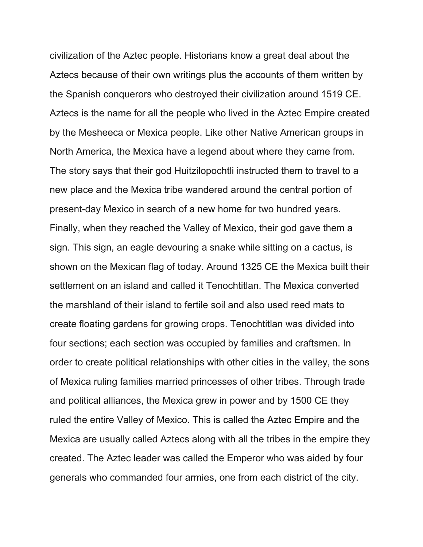civilization of the Aztec people. Historians know a great deal about the Aztecs because of their own writings plus the accounts of them written by the Spanish conquerors who destroyed their civilization around 1519 CE. Aztecs is the name for all the people who lived in the Aztec Empire created by the Mesheeca or Mexica people. Like other Native American groups in North America, the Mexica have a legend about where they came from. The story says that their god Huitzilopochtli instructed them to travel to a new place and the Mexica tribe wandered around the central portion of present-day Mexico in search of a new home for two hundred years. Finally, when they reached the Valley of Mexico, their god gave them a sign. This sign, an eagle devouring a snake while sitting on a cactus, is shown on the Mexican flag of today. Around 1325 CE the Mexica built their settlement on an island and called it Tenochtitlan. The Mexica converted the marshland of their island to fertile soil and also used reed mats to create floating gardens for growing crops. Tenochtitlan was divided into four sections; each section was occupied by families and craftsmen. In order to create political relationships with other cities in the valley, the sons of Mexica ruling families married princesses of other tribes. Through trade and political alliances, the Mexica grew in power and by 1500 CE they ruled the entire Valley of Mexico. This is called the Aztec Empire and the Mexica are usually called Aztecs along with all the tribes in the empire they created. The Aztec leader was called the Emperor who was aided by four generals who commanded four armies, one from each district of the city.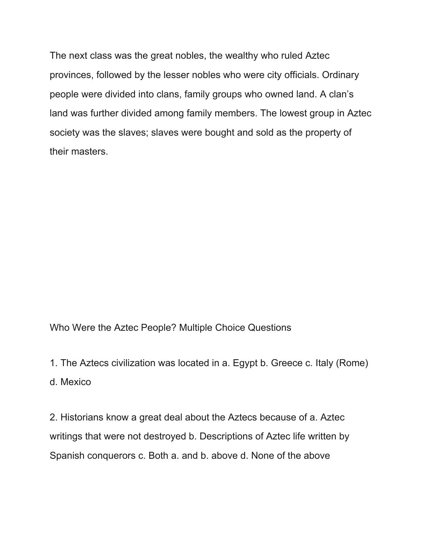The next class was the great nobles, the wealthy who ruled Aztec provinces, followed by the lesser nobles who were city officials. Ordinary people were divided into clans, family groups who owned land. A clan's land was further divided among family members. The lowest group in Aztec society was the slaves; slaves were bought and sold as the property of their masters.

Who Were the Aztec People? Multiple Choice Questions

1. The Aztecs civilization was located in a. Egypt b. Greece c. Italy (Rome)

d. Mexico

2. Historians know a great deal about the Aztecs because of a. Aztec writings that were not destroyed b. Descriptions of Aztec life written by Spanish conquerors c. Both a. and b. above d. None of the above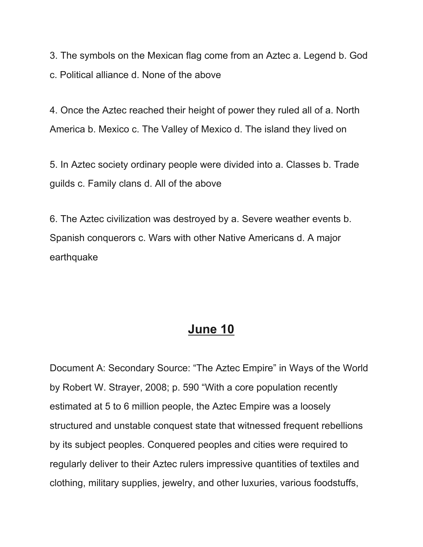3. The symbols on the Mexican flag come from an Aztec a. Legend b. God c. Political alliance d. None of the above

4. Once the Aztec reached their height of power they ruled all of a. North America b. Mexico c. The Valley of Mexico d. The island they lived on

5. In Aztec society ordinary people were divided into a. Classes b. Trade guilds c. Family clans d. All of the above

6. The Aztec civilization was destroyed by a. Severe weather events b. Spanish conquerors c. Wars with other Native Americans d. A major earthquake

## **June 10**

Document A: Secondary Source: "The Aztec Empire" in Ways of the World by Robert W. Strayer, 2008; p. 590 "With a core population recently estimated at 5 to 6 million people, the Aztec Empire was a loosely structured and unstable conquest state that witnessed frequent rebellions by its subject peoples. Conquered peoples and cities were required to regularly deliver to their Aztec rulers impressive quantities of textiles and clothing, military supplies, jewelry, and other luxuries, various foodstuffs,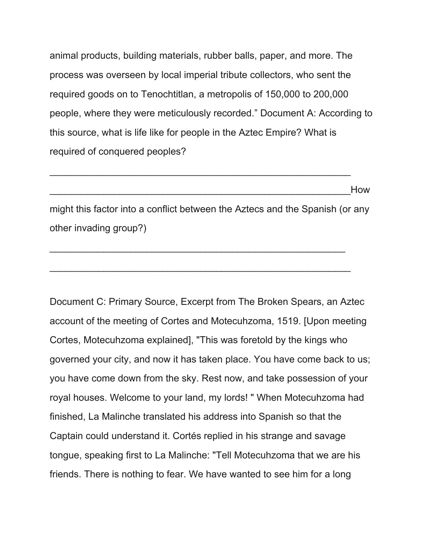animal products, building materials, rubber balls, paper, and more. The process was overseen by local imperial tribute collectors, who sent the required goods on to Tenochtitlan, a metropolis of 150,000 to 200,000 people, where they were meticulously recorded." Document A: According to this source, what is life like for people in the Aztec Empire? What is required of conquered peoples?

\_\_\_\_\_\_\_\_\_\_\_\_\_\_\_\_\_\_\_\_\_\_\_\_\_\_\_\_\_\_\_\_\_\_\_\_\_\_\_\_\_\_\_\_\_\_\_\_\_\_\_\_\_\_\_\_How

might this factor into a conflict between the Aztecs and the Spanish (or any other invading group?)

 $\overline{\phantom{a}}$  , and the contribution of the contribution of  $\overline{\phantom{a}}$  , and  $\overline{\phantom{a}}$  , and  $\overline{\phantom{a}}$  , and  $\overline{\phantom{a}}$ 

\_\_\_\_\_\_\_\_\_\_\_\_\_\_\_\_\_\_\_\_\_\_\_\_\_\_\_\_\_\_\_\_\_\_\_\_\_\_\_\_\_\_\_\_\_\_\_\_\_\_\_\_\_\_\_\_

\_\_\_\_\_\_\_\_\_\_\_\_\_\_\_\_\_\_\_\_\_\_\_\_\_\_\_\_\_\_\_\_\_\_\_\_\_\_\_\_\_\_\_\_\_\_\_\_\_\_\_\_\_\_\_\_

Document C: Primary Source, Excerpt from The Broken Spears, an Aztec account of the meeting of Cortes and Motecuhzoma, 1519. [Upon meeting Cortes, Motecuhzoma explained], "This was foretold by the kings who governed your city, and now it has taken place. You have come back to us; you have come down from the sky. Rest now, and take possession of your royal houses. Welcome to your land, my lords! " When Motecuhzoma had finished, La Malinche translated his address into Spanish so that the Captain could understand it. Cortés replied in his strange and savage tongue, speaking first to La Malinche: "Tell Motecuhzoma that we are his friends. There is nothing to fear. We have wanted to see him for a long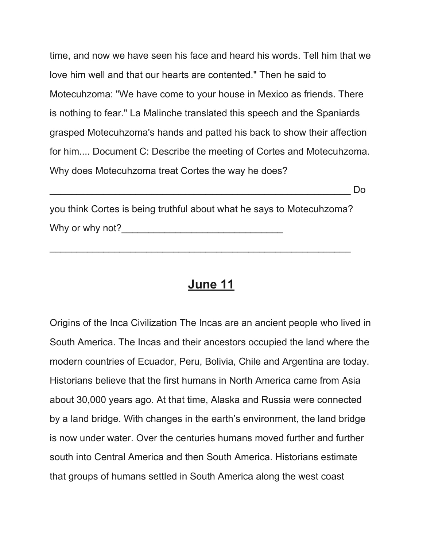time, and now we have seen his face and heard his words. Tell him that we love him well and that our hearts are contented." Then he said to Motecuhzoma: "We have come to your house in Mexico as friends. There is nothing to fear." La Malinche translated this speech and the Spaniards grasped Motecuhzoma's hands and patted his back to show their affection for him.... Document C: Describe the meeting of Cortes and Motecuhzoma. Why does Motecuhzoma treat Cortes the way he does?

\_\_\_\_\_\_\_\_\_\_\_\_\_\_\_\_\_\_\_\_\_\_\_\_\_\_\_\_\_\_\_\_\_\_\_\_\_\_\_\_\_\_\_\_\_\_\_\_\_\_\_\_\_\_\_\_ Do

you think Cortes is being truthful about what he says to Motecuhzoma? Why or why not?\_\_\_\_\_\_\_\_\_\_\_\_\_\_\_\_\_\_\_\_\_\_\_\_\_\_\_\_\_\_

\_\_\_\_\_\_\_\_\_\_\_\_\_\_\_\_\_\_\_\_\_\_\_\_\_\_\_\_\_\_\_\_\_\_\_\_\_\_\_\_\_\_\_\_\_\_\_\_\_\_\_\_\_\_\_\_

#### **June 11**

Origins of the Inca Civilization The Incas are an ancient people who lived in South America. The Incas and their ancestors occupied the land where the modern countries of Ecuador, Peru, Bolivia, Chile and Argentina are today. Historians believe that the first humans in North America came from Asia about 30,000 years ago. At that time, Alaska and Russia were connected by a land bridge. With changes in the earth's environment, the land bridge is now under water. Over the centuries humans moved further and further south into Central America and then South America. Historians estimate that groups of humans settled in South America along the west coast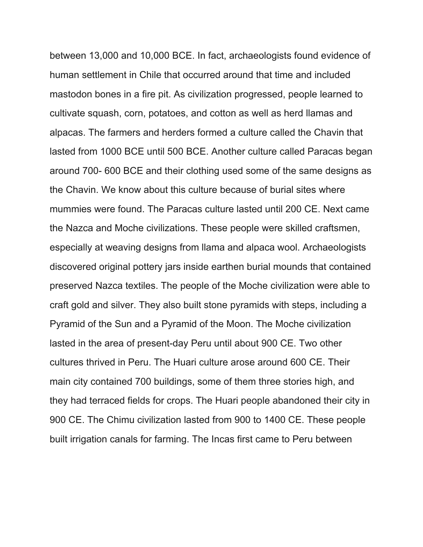between 13,000 and 10,000 BCE. In fact, archaeologists found evidence of human settlement in Chile that occurred around that time and included mastodon bones in a fire pit. As civilization progressed, people learned to cultivate squash, corn, potatoes, and cotton as well as herd llamas and alpacas. The farmers and herders formed a culture called the Chavin that lasted from 1000 BCE until 500 BCE. Another culture called Paracas began around 700- 600 BCE and their clothing used some of the same designs as the Chavin. We know about this culture because of burial sites where mummies were found. The Paracas culture lasted until 200 CE. Next came the Nazca and Moche civilizations. These people were skilled craftsmen, especially at weaving designs from llama and alpaca wool. Archaeologists discovered original pottery jars inside earthen burial mounds that contained preserved Nazca textiles. The people of the Moche civilization were able to craft gold and silver. They also built stone pyramids with steps, including a Pyramid of the Sun and a Pyramid of the Moon. The Moche civilization lasted in the area of present-day Peru until about 900 CE. Two other cultures thrived in Peru. The Huari culture arose around 600 CE. Their main city contained 700 buildings, some of them three stories high, and they had terraced fields for crops. The Huari people abandoned their city in 900 CE. The Chimu civilization lasted from 900 to 1400 CE. These people built irrigation canals for farming. The Incas first came to Peru between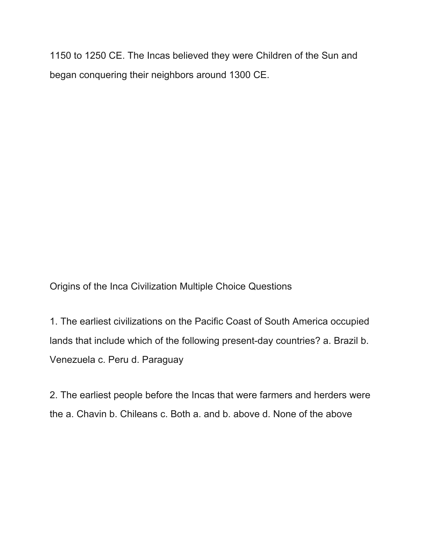1150 to 1250 CE. The Incas believed they were Children of the Sun and began conquering their neighbors around 1300 CE.

Origins of the Inca Civilization Multiple Choice Questions

1. The earliest civilizations on the Pacific Coast of South America occupied lands that include which of the following present-day countries? a. Brazil b. Venezuela c. Peru d. Paraguay

2. The earliest people before the Incas that were farmers and herders were the a. Chavin b. Chileans c. Both a. and b. above d. None of the above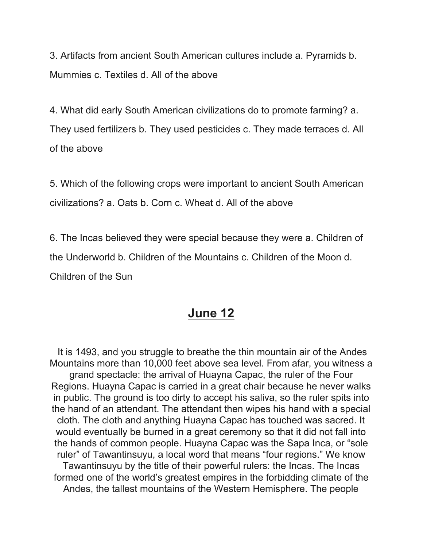3. Artifacts from ancient South American cultures include a. Pyramids b. Mummies c. Textiles d. All of the above

4. What did early South American civilizations do to promote farming? a. They used fertilizers b. They used pesticides c. They made terraces d. All of the above

5. Which of the following crops were important to ancient South American civilizations? a. Oats b. Corn c. Wheat d. All of the above

6. The Incas believed they were special because they were a. Children of the Underworld b. Children of the Mountains c. Children of the Moon d. Children of the Sun

#### **June 12**

It is 1493, and you struggle to breathe the thin mountain air of the Andes Mountains more than 10,000 feet above sea level. From afar, you witness a grand spectacle: the arrival of Huayna Capac, the ruler of the Four Regions. Huayna Capac is carried in a great chair because he never walks in public. The ground is too dirty to accept his saliva, so the ruler spits into the hand of an attendant. The attendant then wipes his hand with a special cloth. The cloth and anything Huayna Capac has touched was sacred. It would eventually be burned in a great ceremony so that it did not fall into the hands of common people. Huayna Capac was the Sapa Inca, or "sole ruler" of Tawantinsuyu, a local word that means "four regions." We know Tawantinsuyu by the title of their powerful rulers: the Incas. The Incas formed one of the world's greatest empires in the forbidding climate of the Andes, the tallest mountains of the Western Hemisphere. The people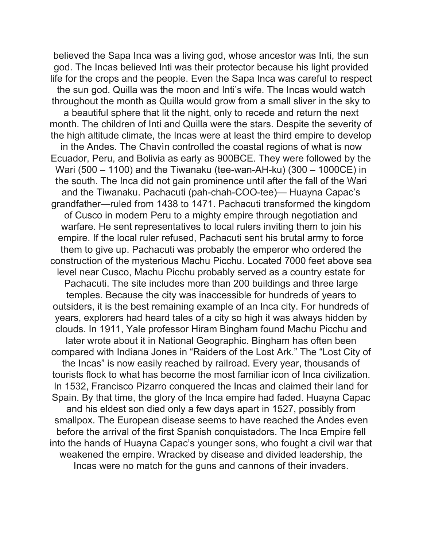believed the Sapa Inca was a living god, whose ancestor was Inti, the sun god. The Incas believed Inti was their protector because his light provided life for the crops and the people. Even the Sapa Inca was careful to respect the sun god. Quilla was the moon and Inti's wife. The Incas would watch throughout the month as Quilla would grow from a small sliver in the sky to a beautiful sphere that lit the night, only to recede and return the next month. The children of Inti and Quilla were the stars. Despite the severity of the high altitude climate, the Incas were at least the third empire to develop in the Andes. The Chavìn controlled the coastal regions of what is now Ecuador, Peru, and Bolivia as early as 900BCE. They were followed by the Wari (500 – 1100) and the Tiwanaku (tee-wan-AH-ku) (300 – 1000CE) in the south. The Inca did not gain prominence until after the fall of the Wari and the Tiwanaku. Pachacuti (pah-chah-COO-tee)— Huayna Capac's grandfather—ruled from 1438 to 1471. Pachacuti transformed the kingdom of Cusco in modern Peru to a mighty empire through negotiation and warfare. He sent representatives to local rulers inviting them to join his empire. If the local ruler refused, Pachacuti sent his brutal army to force them to give up. Pachacuti was probably the emperor who ordered the construction of the mysterious Machu Picchu. Located 7000 feet above sea level near Cusco, Machu Picchu probably served as a country estate for Pachacuti. The site includes more than 200 buildings and three large temples. Because the city was inaccessible for hundreds of years to outsiders, it is the best remaining example of an Inca city. For hundreds of years, explorers had heard tales of a city so high it was always hidden by clouds. In 1911, Yale professor Hiram Bingham found Machu Picchu and later wrote about it in National Geographic. Bingham has often been compared with Indiana Jones in "Raiders of the Lost Ark." The "Lost City of the Incas" is now easily reached by railroad. Every year, thousands of tourists flock to what has become the most familiar icon of Inca civilization. In 1532, Francisco Pizarro conquered the Incas and claimed their land for Spain. By that time, the glory of the Inca empire had faded. Huayna Capac and his eldest son died only a few days apart in 1527, possibly from smallpox. The European disease seems to have reached the Andes even before the arrival of the first Spanish conquistadors. The Inca Empire fell into the hands of Huayna Capac's younger sons, who fought a civil war that weakened the empire. Wracked by disease and divided leadership, the Incas were no match for the guns and cannons of their invaders.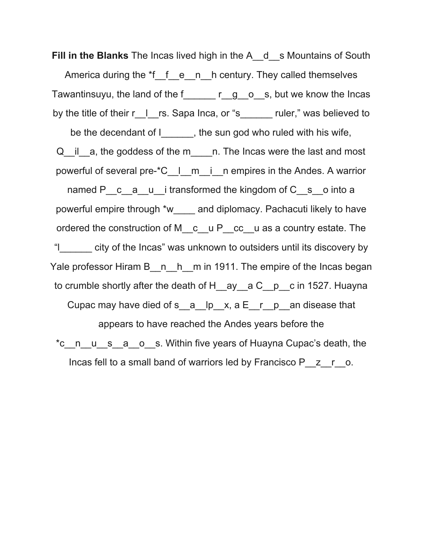**Fill in the Blanks** The Incas lived high in the A\_\_d\_\_s Mountains of South America during the \*f\_f\_e\_n\_h century. They called themselves Tawantinsuyu, the land of the f\_\_\_\_\_\_ r\_\_g\_\_o\_\_s, but we know the Incas by the title of their r\_l\_rs. Sapa Inca, or "s\_\_\_\_\_\_\_ ruler," was believed to be the decendant of I and the sun god who ruled with his wife, Q il a, the goddess of the m and The Incas were the last and most powerful of several pre-\*C\_\_l\_\_m\_\_i\_\_n empires in the Andes. A warrior named P c a u i transformed the kingdom of C s o into a powerful empire through \*w\_\_\_\_ and diplomacy. Pachacuti likely to have ordered the construction of M\_\_c\_ u P\_\_cc\_\_u as a country estate. The "l\_\_\_\_\_\_ city of the Incas" was unknown to outsiders until its discovery by Yale professor Hiram B  $n_h$ <sup>h</sup> m in 1911. The empire of the Incas began to crumble shortly after the death of H ay a C p c in 1527. Huayna Cupac may have died of s  $\overline{a}$  lp  $x, a \in \overline{r}$  p an disease that appears to have reached the Andes years before the \*c\_n\_u\_s\_a\_o\_s. Within five years of Huayna Cupac's death, the Incas fell to a small band of warriors led by Francisco P\_\_z\_\_r\_\_o.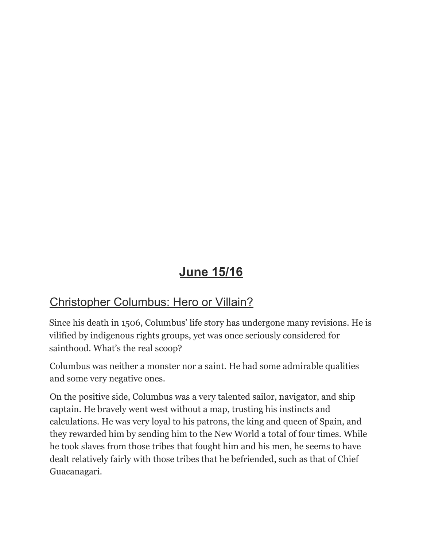# **June 15/16**

## Christopher Columbus: Hero or Villain?

Since his death in 1506, [Columbus'](https://www.thoughtco.com/christopher-columbus-geography-1434429) life story has undergone many revisions. He is vilified by indigenous rights groups, yet was once seriously considered for sainthood. What's the real scoop?

Columbus was neither a monster nor a saint. He had some admirable qualities and some very negative ones.

On the positive side, Columbus was a very talented sailor, navigator, and ship captain. He bravely went west without a map, trusting his instincts and calculations. He was very loyal to his patrons, the king and queen of Spain, and they rewarded him by sending him to the New World a total of four times. While he took slaves from those tribes that fought him and his men, he seems to have dealt relatively fairly with those tribes that he befriended, such as that of Chief Guacanagari.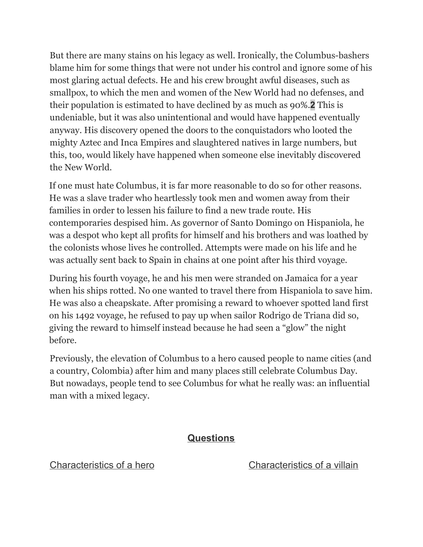But there are many stains on his legacy as well. Ironically, the Columbus-bashers blame him for some things that were not under his control and ignore some of his most glaring actual defects. He and his crew brought awful diseases, such as smallpox, to which the men and women of the New World had no defenses, and their population is estimated to have declined by as much as 90%.**2** This is undeniable, but it was also unintentional and would have happened eventually anyway. His discovery opened the doors to the conquistadors who looted the mighty Aztec and Inca Empires and slaughtered natives in large numbers, but this, too, would likely have happened when someone else inevitably discovered the New World.

If one must hate Columbus, it is far more reasonable to do so for other reasons. He was a slave trader who heartlessly took men and women away from their families in order to lessen his failure to find a new trade route. His contemporaries despised him. As governor of Santo [Domingo](https://www.thoughtco.com/history-of-santo-domingo-dominican-republic-2136382) on Hispaniola, he was a despot who kept all profits for himself and his brothers and was loathed by the colonists whose lives he controlled. Attempts were made on his life and he was actually sent back to Spain in chains at one point after his third [voyage.](https://www.thoughtco.com/the-third-voyage-of-christopher-columbus-2136701)

During his fourth [voyage,](https://www.thoughtco.com/fourth-new-world-voyage-christopher-columbus-2136698) he and his men were stranded on Jamaica for a year when his ships rotted. No one wanted to travel there from Hispaniola to save him. He was also a cheapskate. After promising a reward to whoever spotted land first on his 1492 voyage, he refused to pay up when sailor Rodrigo de Triana did so, giving the reward to himself instead because he had seen a "glow" the night before.

Previously, the elevation of Columbus to a hero caused people to name cities (and a country, Colombia) after him and many places still celebrate Columbus Day. But nowadays, people tend to see Columbus for what he really was: an influential man with a mixed legacy.

#### **Questions**

Characteristics of a hero Characteristics of a villain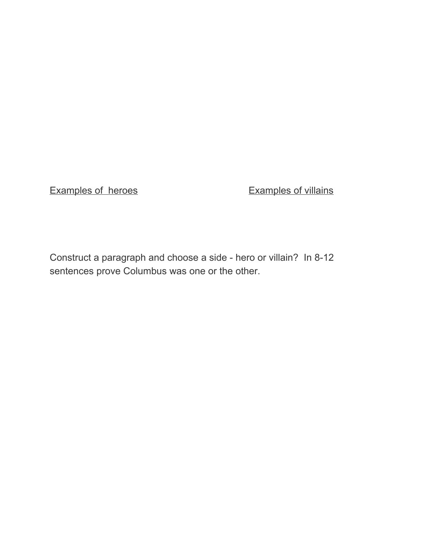Examples of heroes Examples of villains

Construct a paragraph and choose a side - hero or villain? In 8-12 sentences prove Columbus was one or the other.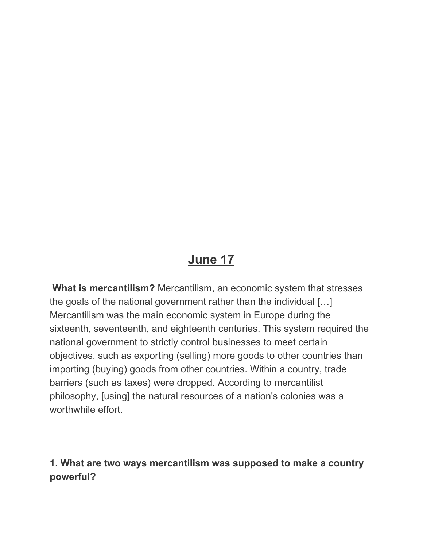## **June 17**

**What is mercantilism?** Mercantilism, an economic system that stresses the goals of the national government rather than the individual […] Mercantilism was the main economic system in Europe during the sixteenth, seventeenth, and eighteenth centuries. This system required the national government to strictly control businesses to meet certain objectives, such as exporting (selling) more goods to other countries than importing (buying) goods from other countries. Within a country, trade barriers (such as taxes) were dropped. According to mercantilist philosophy, [using] the natural resources of a nation's colonies was a worthwhile effort.

#### **1. What are two ways mercantilism was supposed to make a country powerful?**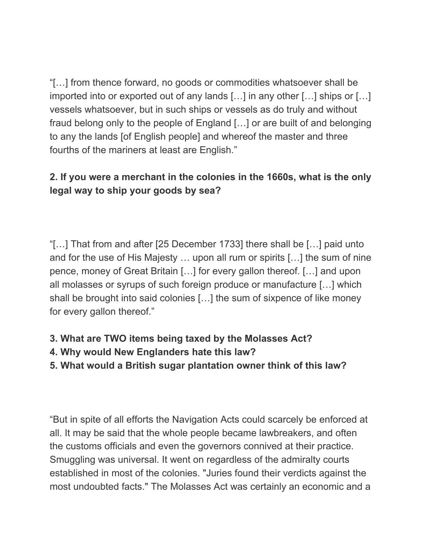"[…] from thence forward, no goods or commodities whatsoever shall be imported into or exported out of any lands […] in any other […] ships or […] vessels whatsoever, but in such ships or vessels as do truly and without fraud belong only to the people of England […] or are built of and belonging to any the lands [of English people] and whereof the master and three fourths of the mariners at least are English."

#### **2. If you were a merchant in the colonies in the 1660s, what is the only legal way to ship your goods by sea?**

"[…] That from and after [25 December 1733] there shall be […] paid unto and for the use of His Majesty … upon all rum or spirits […] the sum of nine pence, money of Great Britain […] for every gallon thereof. […] and upon all molasses or syrups of such foreign produce or manufacture […] which shall be brought into said colonies […] the sum of sixpence of like money for every gallon thereof."

#### **3. What are TWO items being taxed by the Molasses Act?**

- **4. Why would New Englanders hate this law?**
- **5. What would a British sugar plantation owner think of this law?**

"But in spite of all efforts the Navigation Acts could scarcely be enforced at all. It may be said that the whole people became lawbreakers, and often the customs officials and even the governors connived at their practice. Smuggling was universal. It went on regardless of the admiralty courts established in most of the colonies. "Juries found their verdicts against the most undoubted facts." The Molasses Act was certainly an economic and a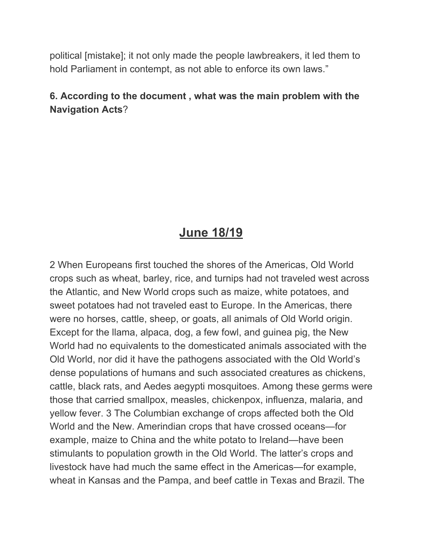political [mistake]; it not only made the people lawbreakers, it led them to hold Parliament in contempt, as not able to enforce its own laws."

#### **6. According to the document , what was the main problem with the Navigation Acts**?

## **June 18/19**

2 When Europeans first touched the shores of the Americas, Old World crops such as wheat, barley, rice, and turnips had not traveled west across the Atlantic, and New World crops such as maize, white potatoes, and sweet potatoes had not traveled east to Europe. In the Americas, there were no horses, cattle, sheep, or goats, all animals of Old World origin. Except for the llama, alpaca, dog, a few fowl, and guinea pig, the New World had no equivalents to the domesticated animals associated with the Old World, nor did it have the pathogens associated with the Old World's dense populations of humans and such associated creatures as chickens, cattle, black rats, and Aedes aegypti mosquitoes. Among these germs were those that carried smallpox, measles, chickenpox, influenza, malaria, and yellow fever. 3 The Columbian exchange of crops affected both the Old World and the New. Amerindian crops that have crossed oceans—for example, maize to China and the white potato to Ireland—have been stimulants to population growth in the Old World. The latter's crops and livestock have had much the same effect in the Americas—for example, wheat in Kansas and the Pampa, and beef cattle in Texas and Brazil. The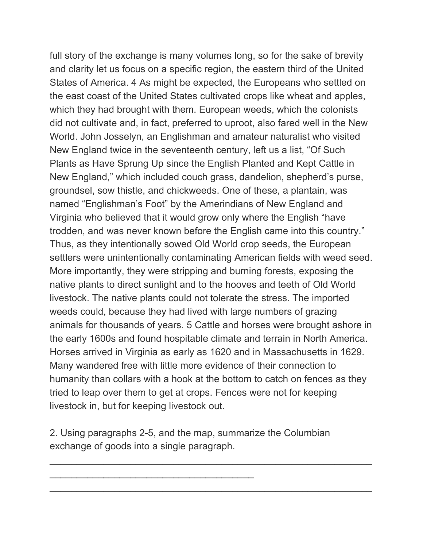full story of the exchange is many volumes long, so for the sake of brevity and clarity let us focus on a specific region, the eastern third of the United States of America. 4 As might be expected, the Europeans who settled on the east coast of the United States cultivated crops like wheat and apples, which they had brought with them. European weeds, which the colonists did not cultivate and, in fact, preferred to uproot, also fared well in the New World. John Josselyn, an Englishman and amateur naturalist who visited New England twice in the seventeenth century, left us a list, "Of Such Plants as Have Sprung Up since the English Planted and Kept Cattle in New England," which included couch grass, dandelion, shepherd's purse, groundsel, sow thistle, and chickweeds. One of these, a plantain, was named "Englishman's Foot" by the Amerindians of New England and Virginia who believed that it would grow only where the English "have trodden, and was never known before the English came into this country." Thus, as they intentionally sowed Old World crop seeds, the European settlers were unintentionally contaminating American fields with weed seed. More importantly, they were stripping and burning forests, exposing the native plants to direct sunlight and to the hooves and teeth of Old World livestock. The native plants could not tolerate the stress. The imported weeds could, because they had lived with large numbers of grazing animals for thousands of years. 5 Cattle and horses were brought ashore in the early 1600s and found hospitable climate and terrain in North America. Horses arrived in Virginia as early as 1620 and in Massachusetts in 1629. Many wandered free with little more evidence of their connection to humanity than collars with a hook at the bottom to catch on fences as they tried to leap over them to get at crops. Fences were not for keeping livestock in, but for keeping livestock out.

2. Using paragraphs 2-5, and the map, summarize the Columbian exchange of goods into a single paragraph.

\_\_\_\_\_\_\_\_\_\_\_\_\_\_\_\_\_\_\_\_\_\_\_\_\_\_\_\_\_\_\_\_\_\_\_\_\_\_

 $\_$  ,  $\_$  ,  $\_$  ,  $\_$  ,  $\_$  ,  $\_$  ,  $\_$  ,  $\_$  ,  $\_$  ,  $\_$  ,  $\_$  ,  $\_$  ,  $\_$  ,  $\_$  ,  $\_$  ,  $\_$  ,  $\_$  ,  $\_$  ,  $\_$  ,  $\_$ 

 $\mathcal{L}_\text{G}$  , and the contribution of the contribution of the contribution of the contribution of the contribution of the contribution of the contribution of the contribution of the contribution of the contribution of t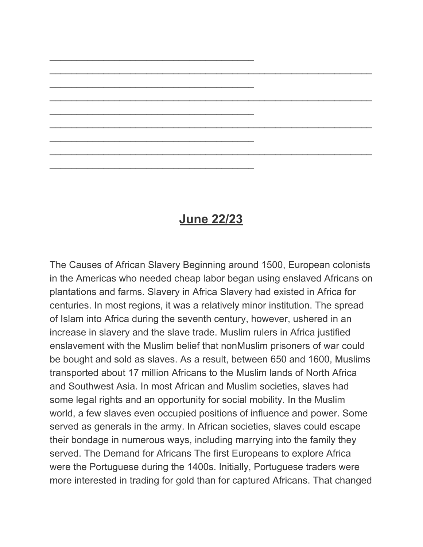#### **June 22/23**

 $\_$  ,  $\_$  ,  $\_$  ,  $\_$  ,  $\_$  ,  $\_$  ,  $\_$  ,  $\_$  ,  $\_$  ,  $\_$  ,  $\_$  ,  $\_$  ,  $\_$  ,  $\_$  ,  $\_$  ,  $\_$  ,  $\_$  ,  $\_$  ,  $\_$  ,  $\_$ 

 $\_$  ,  $\_$  ,  $\_$  ,  $\_$  ,  $\_$  ,  $\_$  ,  $\_$  ,  $\_$  ,  $\_$  ,  $\_$  ,  $\_$  ,  $\_$  ,  $\_$  ,  $\_$  ,  $\_$  ,  $\_$  ,  $\_$  ,  $\_$  ,  $\_$  ,  $\_$ 

 $\_$  ,  $\_$  ,  $\_$  ,  $\_$  ,  $\_$  ,  $\_$  ,  $\_$  ,  $\_$  ,  $\_$  ,  $\_$  ,  $\_$  ,  $\_$  ,  $\_$  ,  $\_$  ,  $\_$  ,  $\_$  ,  $\_$  ,  $\_$  ,  $\_$  ,  $\_$ 

 $\_$  ,  $\_$  ,  $\_$  ,  $\_$  ,  $\_$  ,  $\_$  ,  $\_$  ,  $\_$  ,  $\_$  ,  $\_$  ,  $\_$  ,  $\_$  ,  $\_$  ,  $\_$  ,  $\_$  ,  $\_$  ,  $\_$  ,  $\_$  ,  $\_$  ,  $\_$ 

\_\_\_\_\_\_\_\_\_\_\_\_\_\_\_\_\_\_\_\_\_\_\_\_\_\_\_\_\_\_\_\_\_\_\_\_\_\_

\_\_\_\_\_\_\_\_\_\_\_\_\_\_\_\_\_\_\_\_\_\_\_\_\_\_\_\_\_\_\_\_\_\_\_\_\_\_

\_\_\_\_\_\_\_\_\_\_\_\_\_\_\_\_\_\_\_\_\_\_\_\_\_\_\_\_\_\_\_\_\_\_\_\_\_\_

\_\_\_\_\_\_\_\_\_\_\_\_\_\_\_\_\_\_\_\_\_\_\_\_\_\_\_\_\_\_\_\_\_\_\_\_\_\_

\_\_\_\_\_\_\_\_\_\_\_\_\_\_\_\_\_\_\_\_\_\_\_\_\_\_\_\_\_\_\_\_\_\_\_\_\_\_

The Causes of African Slavery Beginning around 1500, European colonists in the Americas who needed cheap labor began using enslaved Africans on plantations and farms. Slavery in Africa Slavery had existed in Africa for centuries. In most regions, it was a relatively minor institution. The spread of Islam into Africa during the seventh century, however, ushered in an increase in slavery and the slave trade. Muslim rulers in Africa justified enslavement with the Muslim belief that nonMuslim prisoners of war could be bought and sold as slaves. As a result, between 650 and 1600, Muslims transported about 17 million Africans to the Muslim lands of North Africa and Southwest Asia. In most African and Muslim societies, slaves had some legal rights and an opportunity for social mobility. In the Muslim world, a few slaves even occupied positions of influence and power. Some served as generals in the army. In African societies, slaves could escape their bondage in numerous ways, including marrying into the family they served. The Demand for Africans The first Europeans to explore Africa were the Portuguese during the 1400s. Initially, Portuguese traders were more interested in trading for gold than for captured Africans. That changed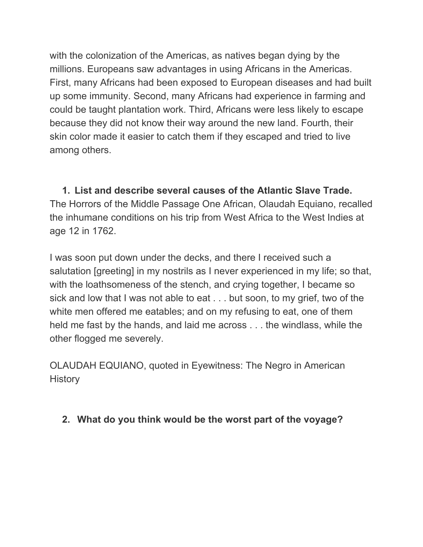with the colonization of the Americas, as natives began dying by the millions. Europeans saw advantages in using Africans in the Americas. First, many Africans had been exposed to European diseases and had built up some immunity. Second, many Africans had experience in farming and could be taught plantation work. Third, Africans were less likely to escape because they did not know their way around the new land. Fourth, their skin color made it easier to catch them if they escaped and tried to live among others.

**1. List and describe several causes of the Atlantic Slave Trade.** The Horrors of the Middle Passage One African, Olaudah Equiano, recalled the inhumane conditions on his trip from West Africa to the West Indies at age 12 in 1762.

I was soon put down under the decks, and there I received such a salutation [greeting] in my nostrils as I never experienced in my life; so that, with the loathsomeness of the stench, and crying together, I became so sick and low that I was not able to eat . . . but soon, to my grief, two of the white men offered me eatables; and on my refusing to eat, one of them held me fast by the hands, and laid me across . . . the windlass, while the other flogged me severely.

OLAUDAH EQUIANO, quoted in Eyewitness: The Negro in American **History** 

**2. What do you think would be the worst part of the voyage?**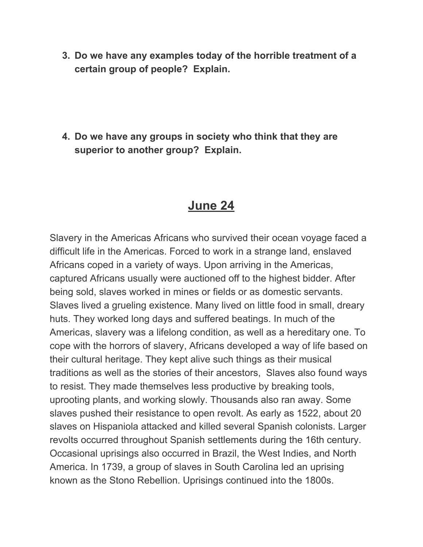**3. Do we have any examples today of the horrible treatment of a certain group of people? Explain.**

**4. Do we have any groups in society who think that they are superior to another group? Explain.**

## **June 24**

Slavery in the Americas Africans who survived their ocean voyage faced a difficult life in the Americas. Forced to work in a strange land, enslaved Africans coped in a variety of ways. Upon arriving in the Americas, captured Africans usually were auctioned off to the highest bidder. After being sold, slaves worked in mines or fields or as domestic servants. Slaves lived a grueling existence. Many lived on little food in small, dreary huts. They worked long days and suffered beatings. In much of the Americas, slavery was a lifelong condition, as well as a hereditary one. To cope with the horrors of slavery, Africans developed a way of life based on their cultural heritage. They kept alive such things as their musical traditions as well as the stories of their ancestors, Slaves also found ways to resist. They made themselves less productive by breaking tools, uprooting plants, and working slowly. Thousands also ran away. Some slaves pushed their resistance to open revolt. As early as 1522, about 20 slaves on Hispaniola attacked and killed several Spanish colonists. Larger revolts occurred throughout Spanish settlements during the 16th century. Occasional uprisings also occurred in Brazil, the West Indies, and North America. In 1739, a group of slaves in South Carolina led an uprising known as the Stono Rebellion. Uprisings continued into the 1800s.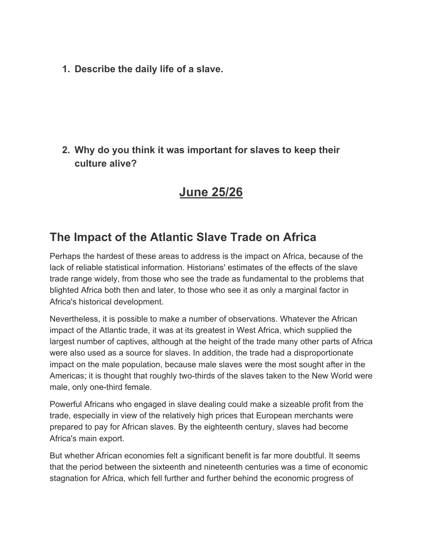**1. Describe the daily life of a slave.**

#### **2. Why do you think it was important for slaves to keep their culture alive?**

## **June 25/26**

## **The Impact of the Atlantic Slave Trade on Africa**

Perhaps the hardest of these areas to address is the impact on Africa, because of the lack of reliable statistical information. Historians' estimates of the effects of the slave trade range widely, from those who see the trade as fundamental to the problems that blighted Africa both then and later, to those who see it as only a marginal factor in Africa's historical development.

Nevertheless, it is possible to make a number of observations. Whatever the African impact of the Atlantic trade, it was at its greatest in West Africa, which supplied the largest number of captives, although at the height of the trade many other parts of Africa were also used as a source for slaves. In addition, the trade had a disproportionate impact on the male population, because male slaves were the most sought after in the Americas; it is thought that roughly two-thirds of the slaves taken to the New World were male, only one-third female.

Powerful Africans who engaged in slave dealing could make a sizeable profit from the trade, especially in view of the relatively high prices that European merchants were prepared to pay for African slaves. By the eighteenth century, slaves had become Africa's main export.

But whether African economies felt a significant benefit is far more doubtful. It seems that the period between the sixteenth and nineteenth centuries was a time of economic stagnation for Africa, which fell further and further behind the economic progress of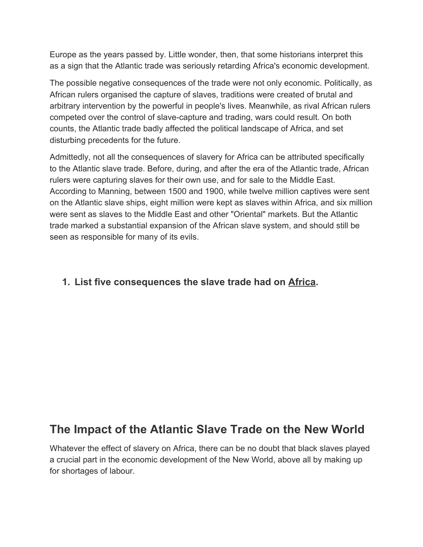Europe as the years passed by. Little wonder, then, that some historians interpret this as a sign that the Atlantic trade was seriously retarding Africa's economic development.

The possible negative consequences of the trade were not only economic. Politically, as African rulers organised the capture of slaves, traditions were created of brutal and arbitrary intervention by the powerful in people's lives. Meanwhile, as rival African rulers competed over the control of slave-capture and trading, wars could result. On both counts, the Atlantic trade badly affected the political landscape of Africa, and set disturbing precedents for the future.

Admittedly, not all the consequences of slavery for Africa can be attributed specifically to the Atlantic slave trade. Before, during, and after the era of the Atlantic trade, African rulers were capturing slaves for their own use, and for sale to the Middle East. According to Manning, between 1500 and 1900, while twelve million captives were sent on the Atlantic slave ships, eight million were kept as slaves within Africa, and six million were sent as slaves to the Middle East and other "Oriental" markets. But the Atlantic trade marked a substantial expansion of the African slave system, and should still be seen as responsible for many of its evils.

#### **1. List five consequences the slave trade had on Africa.**

## **The Impact of the Atlantic Slave Trade on the New World**

Whatever the effect of slavery on Africa, there can be no doubt that black slaves played a crucial part in the economic development of the New World, above all by making up for shortages of labour.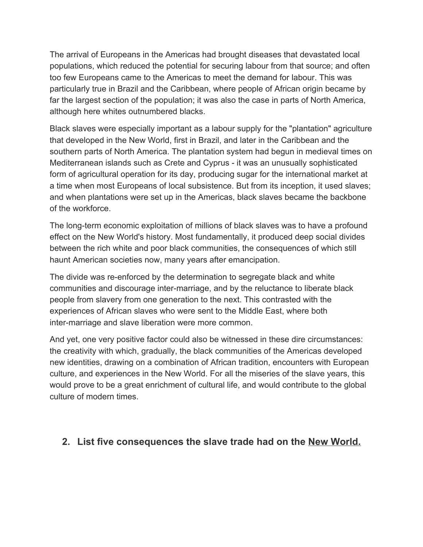The arrival of Europeans in the Americas had brought diseases that devastated local populations, which reduced the potential for securing labour from that source; and often too few Europeans came to the Americas to meet the demand for labour. This was particularly true in Brazil and the Caribbean, where people of African origin became by far the largest section of the population; it was also the case in parts of North America, although here whites outnumbered blacks.

Black slaves were especially important as a labour supply for the "plantation" agriculture that developed in the New World, first in Brazil, and later in the Caribbean and the southern parts of North America. The plantation system had begun in medieval times on Mediterranean islands such as Crete and Cyprus - it was an unusually sophisticated form of agricultural operation for its day, producing sugar for the international market at a time when most Europeans of local subsistence. But from its inception, it used slaves; and when plantations were set up in the Americas, black slaves became the backbone of the workforce.

The long-term economic exploitation of millions of black slaves was to have a profound effect on the New World's history. Most fundamentally, it produced deep social divides between the rich white and poor black communities, the consequences of which still haunt American societies now, many years after emancipation.

The divide was re-enforced by the determination to segregate black and white communities and discourage inter-marriage, and by the reluctance to liberate black people from slavery from one generation to the next. This contrasted with the experiences of African slaves who were sent to the Middle East, where both inter-marriage and slave liberation were more common.

And yet, one very positive factor could also be witnessed in these dire circumstances: the creativity with which, gradually, the black communities of the Americas developed new identities, drawing on a combination of African tradition, encounters with European culture, and experiences in the New World. For all the miseries of the slave years, this would prove to be a great enrichment of cultural life, and would contribute to the global culture of modern times.

#### **2. List five consequences the slave trade had on the New World.**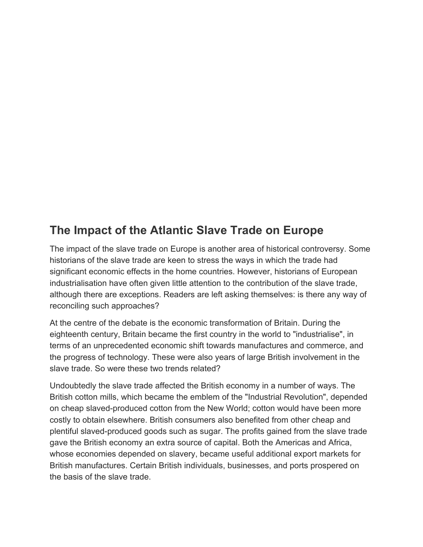## **The Impact of the Atlantic Slave Trade on Europe**

The impact of the slave trade on Europe is another area of historical controversy. Some historians of the slave trade are keen to stress the ways in which the trade had significant economic effects in the home countries. However, historians of European industrialisation have often given little attention to the contribution of the slave trade, although there are exceptions. Readers are left asking themselves: is there any way of reconciling such approaches?

At the centre of the debate is the economic transformation of Britain. During the eighteenth century, Britain became the first country in the world to "industrialise", in terms of an unprecedented economic shift towards manufactures and commerce, and the progress of technology. These were also years of large British involvement in the slave trade. So were these two trends related?

Undoubtedly the slave trade affected the British economy in a number of ways. The British cotton mills, which became the emblem of the "Industrial Revolution", depended on cheap slaved-produced cotton from the New World; cotton would have been more costly to obtain elsewhere. British consumers also benefited from other cheap and plentiful slaved-produced goods such as sugar. The profits gained from the slave trade gave the British economy an extra source of capital. Both the Americas and Africa, whose economies depended on slavery, became useful additional export markets for British manufactures. Certain British individuals, businesses, and ports prospered on the basis of the slave trade.